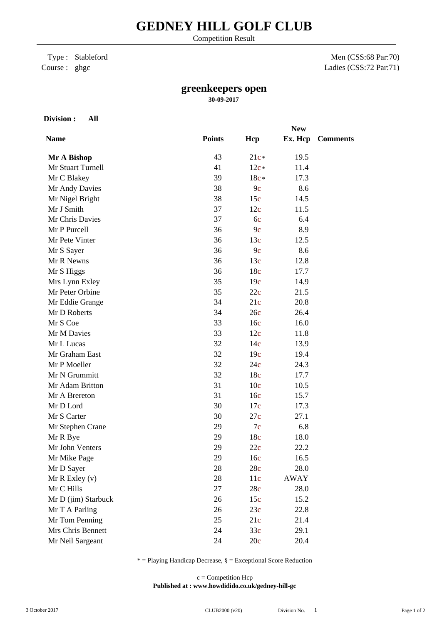Competition Result

## Type : Stableford Course : ghgc

Men (CSS:68 Par:70) Ladies (CSS:72 Par:71)

## **greenkeepers open**

**30-09-2017**

**Division : All**

|                     |               |                 | <b>New</b>  |                 |
|---------------------|---------------|-----------------|-------------|-----------------|
| <b>Name</b>         | <b>Points</b> | Hcp             | Ex. Hcp     | <b>Comments</b> |
| Mr A Bishop         | 43            | $21c*$          | 19.5        |                 |
| Mr Stuart Turnell   | 41            | $12c*$          | 11.4        |                 |
| Mr C Blakey         | 39            | $18c*$          | 17.3        |                 |
| Mr Andy Davies      | 38            | 9c              | 8.6         |                 |
| Mr Nigel Bright     | 38            | 15c             | 14.5        |                 |
| Mr J Smith          | 37            | 12c             | 11.5        |                 |
| Mr Chris Davies     | 37            | 6c              | 6.4         |                 |
| Mr P Purcell        | 36            | 9c              | 8.9         |                 |
| Mr Pete Vinter      | 36            | 13c             | 12.5        |                 |
| Mr S Sayer          | 36            | 9c              | 8.6         |                 |
| Mr R Newns          | 36            | 13c             | 12.8        |                 |
| Mr S Higgs          | 36            | 18c             | 17.7        |                 |
| Mrs Lynn Exley      | 35            | 19c             | 14.9        |                 |
| Mr Peter Orbine     | 35            | 22c             | 21.5        |                 |
| Mr Eddie Grange     | 34            | 21c             | 20.8        |                 |
| Mr D Roberts        | 34            | 26c             | 26.4        |                 |
| Mr S Coe            | 33            | 16c             | 16.0        |                 |
| Mr M Davies         | 33            | 12c             | 11.8        |                 |
| Mr L Lucas          | 32            | 14c             | 13.9        |                 |
| Mr Graham East      | 32            | 19c             | 19.4        |                 |
| Mr P Moeller        | 32            | 24c             | 24.3        |                 |
| Mr N Grummitt       | 32            | 18c             | 17.7        |                 |
| Mr Adam Britton     | 31            | 10 <sub>c</sub> | 10.5        |                 |
| Mr A Brereton       | 31            | 16c             | 15.7        |                 |
| Mr D Lord           | 30            | 17c             | 17.3        |                 |
| Mr S Carter         | 30            | 27c             | 27.1        |                 |
| Mr Stephen Crane    | 29            | 7c              | 6.8         |                 |
| Mr R Bye            | 29            | 18c             | 18.0        |                 |
| Mr John Venters     | 29            | 22c             | 22.2        |                 |
| Mr Mike Page        | 29            | 16c             | 16.5        |                 |
| Mr D Sayer          | 28            | 28c             | 28.0        |                 |
| $Mr R$ Exley $(v)$  | 28            | 11c             | <b>AWAY</b> |                 |
| Mr C Hills          | 27            | 28c             | 28.0        |                 |
| Mr D (jim) Starbuck | 26            | 15c             | 15.2        |                 |
| Mr T A Parling      | 26            | 23c             | 22.8        |                 |
| Mr Tom Penning      | 25            | 21c             | 21.4        |                 |
| Mrs Chris Bennett   | 24            | 33c             | 29.1        |                 |
| Mr Neil Sargeant    | 24            | 20c             | 20.4        |                 |

 $*$  = Playing Handicap Decrease,  $\S$  = Exceptional Score Reduction

**Published at : www.howdidido.co.uk/gedney-hill-gc** c = Competition Hcp